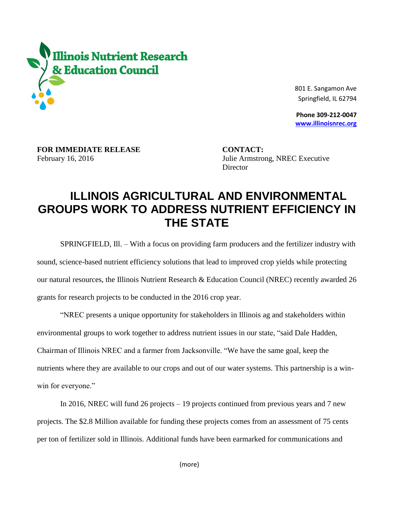

 801 E. Sangamon Ave Springfield, IL 62794

 **Phone 309-212-0047 [www.illinoisnrec.org](http://www.illinoisnrec.org/)**

**FOR IMMEDIATE RELEASE CONTACT:** 

February 16, 2016 Julie Armstrong, NREC Executive **Director** 

## **ILLINOIS AGRICULTURAL AND ENVIRONMENTAL GROUPS WORK TO ADDRESS NUTRIENT EFFICIENCY IN THE STATE**

SPRINGFIELD, Ill. – With a focus on providing farm producers and the fertilizer industry with sound, science-based nutrient efficiency solutions that lead to improved crop yields while protecting our natural resources, the Illinois Nutrient Research & Education Council (NREC) recently awarded 26 grants for research projects to be conducted in the 2016 crop year.

"NREC presents a unique opportunity for stakeholders in Illinois ag and stakeholders within environmental groups to work together to address nutrient issues in our state, "said Dale Hadden, Chairman of Illinois NREC and a farmer from Jacksonville. "We have the same goal, keep the nutrients where they are available to our crops and out of our water systems. This partnership is a winwin for everyone."

In 2016, NREC will fund 26 projects – 19 projects continued from previous years and 7 new projects. The \$2.8 Million available for funding these projects comes from an assessment of 75 cents per ton of fertilizer sold in Illinois. Additional funds have been earmarked for communications and